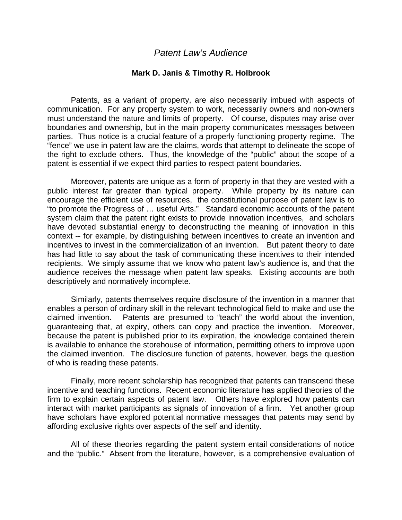## *Patent Law's Audience*

## **Mark D. Janis & Timothy R. Holbrook**

Patents, as a variant of property, are also necessarily imbued with aspects of communication. For any property system to work, necessarily owners and non-owners must understand the nature and limits of property. Of course, disputes may arise over boundaries and ownership, but in the main property communicates messages between parties. Thus notice is a crucial feature of a properly functioning property regime. The "fence" we use in patent law are the claims, words that attempt to delineate the scope of the right to exclude others. Thus, the knowledge of the "public" about the scope of a patent is essential if we expect third parties to respect patent boundaries.

 Moreover, patents are unique as a form of property in that they are vested with a public interest far greater than typical property. While property by its nature can encourage the efficient use of resources, the constitutional purpose of patent law is to "to promote the Progress of … useful Arts." Standard economic accounts of the patent system claim that the patent right exists to provide innovation incentives, and scholars have devoted substantial energy to deconstructing the meaning of innovation in this context -- for example, by distinguishing between incentives to create an invention and incentives to invest in the commercialization of an invention. But patent theory to date has had little to say about the task of communicating these incentives to their intended recipients. We simply assume that we know who patent law's audience is, and that the audience receives the message when patent law speaks. Existing accounts are both descriptively and normatively incomplete.

 Similarly, patents themselves require disclosure of the invention in a manner that enables a person of ordinary skill in the relevant technological field to make and use the claimed invention. Patents are presumed to "teach" the world about the invention, guaranteeing that, at expiry, others can copy and practice the invention. Moreover, because the patent is published prior to its expiration, the knowledge contained therein is available to enhance the storehouse of information, permitting others to improve upon the claimed invention. The disclosure function of patents, however, begs the question of who is reading these patents.

Finally, more recent scholarship has recognized that patents can transcend these incentive and teaching functions. Recent economic literature has applied theories of the firm to explain certain aspects of patent law. Others have explored how patents can interact with market participants as signals of innovation of a firm. Yet another group have scholars have explored potential normative messages that patents may send by affording exclusive rights over aspects of the self and identity.

All of these theories regarding the patent system entail considerations of notice and the "public." Absent from the literature, however, is a comprehensive evaluation of